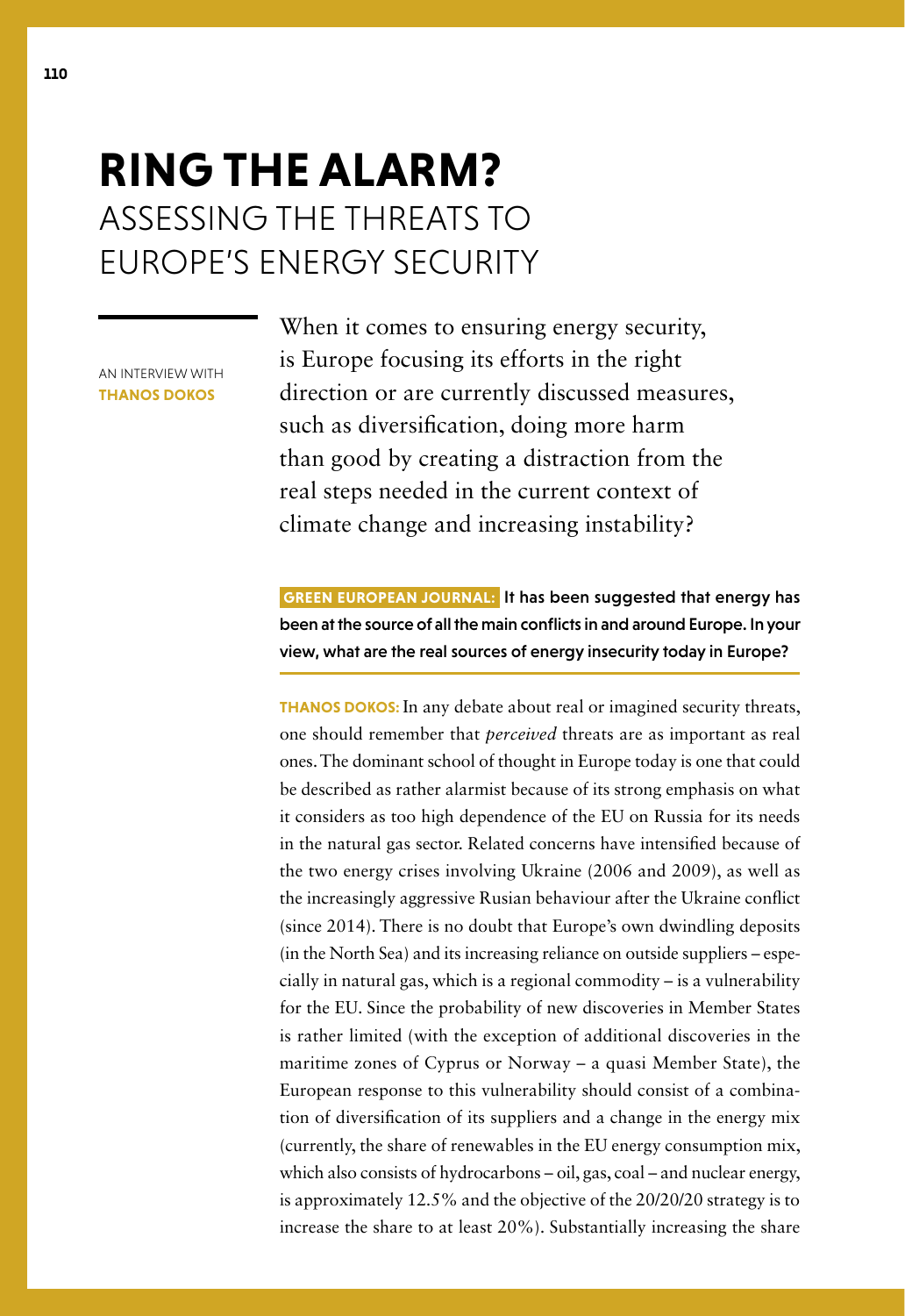## **RING THE ALARM?** ASSESSING THE THREATS TO EUROPE'S ENERGY SECURITY

AN INTERVIEW WITH **THANOS DOKOS**

When it comes to ensuring energy security, is Europe focusing its efforts in the right direction or are currently discussed measures, such as diversification, doing more harm than good by creating a distraction from the real steps needed in the current context of climate change and increasing instability?

 **GREEN EUROPEAN JOURNAL:** It has been suggested that energy has been at the source of all the main conflicts in and around Europe. In your view, what are the real sources of energy insecurity today in Europe?

**THANOS DOKOS:** In any debate about real or imagined security threats, one should remember that *perceived* threats are as important as real ones. The dominant school of thought in Europe today is one that could be described as rather alarmist because of its strong emphasis on what it considers as too high dependence of the EU on Russia for its needs in the natural gas sector. Related concerns have intensified because of the two energy crises involving Ukraine (2006 and 2009), as well as the increasingly aggressive Rusian behaviour after the Ukraine conflict (since 2014). There is no doubt that Europe's own dwindling deposits (in the North Sea) and its increasing reliance on outside suppliers – especially in natural gas, which is a regional commodity – is a vulnerability for the EU. Since the probability of new discoveries in Member States is rather limited (with the exception of additional discoveries in the maritime zones of Cyprus or Norway – a quasi Member State), the European response to this vulnerability should consist of a combination of diversification of its suppliers and a change in the energy mix (currently, the share of renewables in the EU energy consumption mix, which also consists of hydrocarbons – oil, gas, coal – and nuclear energy, is approximately 12.5% and the objective of the 20/20/20 strategy is to increase the share to at least 20%). Substantially increasing the share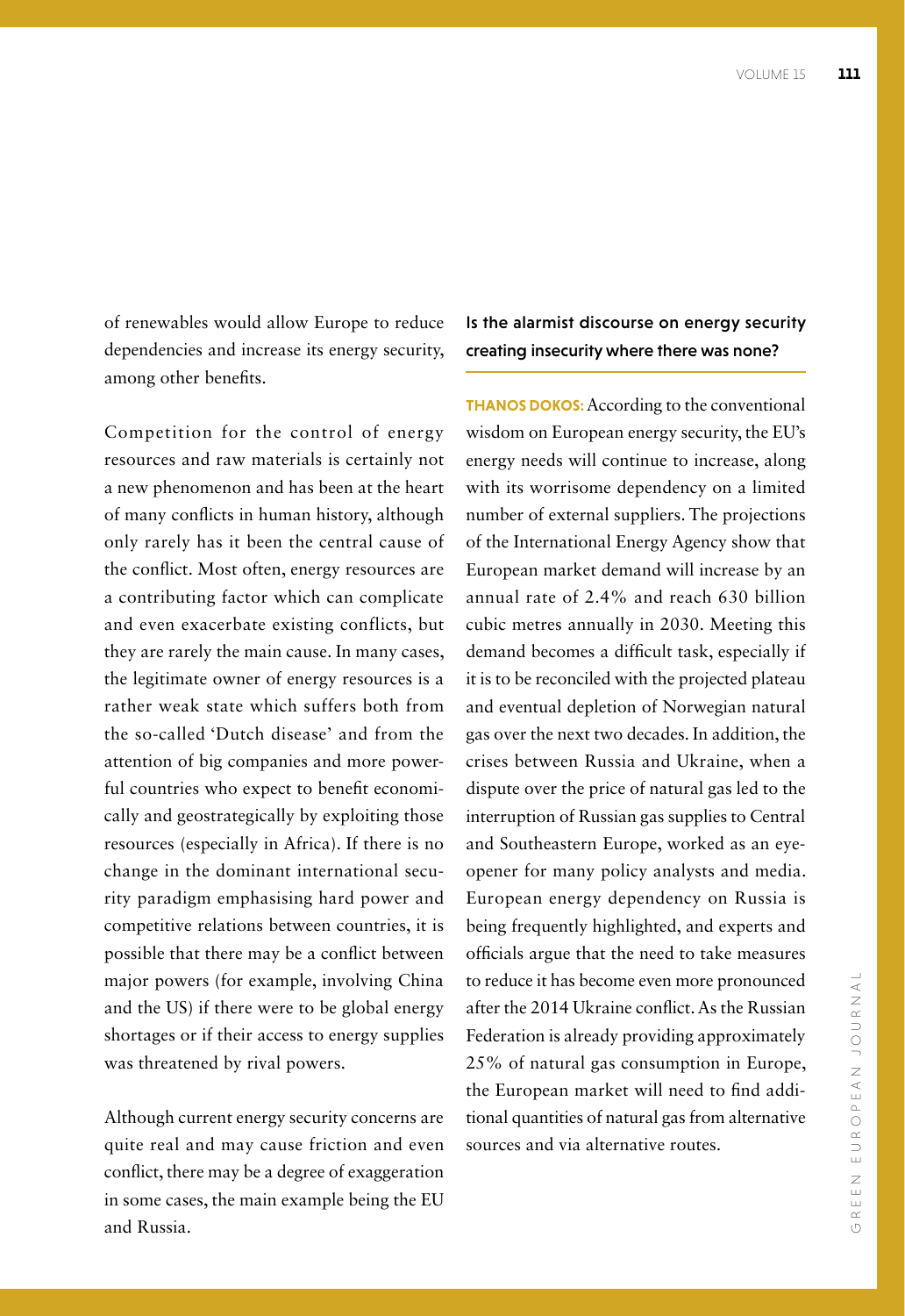of renewables would allow Europe to reduce dependencies and increase its energy security, among other benefits.

Competition for the control of energy resources and raw materials is certainly not a new phenomenon and has been at the heart of many conflicts in human history, although only rarely has it been the central cause of the conflict. Most often, energy resources are a contributing factor which can complicate and even exacerbate existing conflicts, but they are rarely the main cause. In many cases, the legitimate owner of energy resources is a rather weak state which suffers both from the so-called 'Dutch disease' and from the attention of big companies and more powerful countries who expect to benefit economically and geostrategically by exploiting those resources (especially in Africa). If there is no change in the dominant international security paradigm emphasising hard power and competitive relations between countries, it is possible that there may be a conflict between major powers (for example, involving China and the US) if there were to be global energy shortages or if their access to energy supplies was threatened by rival powers.

Although current energy security concerns are quite real and may cause friction and even conflict, there may be a degree of exaggeration in some cases, the main example being the EU and Russia.

Is the alarmist discourse on energy security creating insecurity where there was none?

**THANOS DOKOS:**According to the conventional wisdom on European energy security, the EU's energy needs will continue to increase, along with its worrisome dependency on a limited number of external suppliers. The projections of the International Energy Agency show that European market demand will increase by an annual rate of 2.4% and reach 630 billion cubic metres annually in 2030. Meeting this demand becomes a difficult task, especially if it is to be reconciled with the projected plateau and eventual depletion of Norwegian natural gas over the next two decades. In addition, the crises between Russia and Ukraine, when a dispute over the price of natural gas led to the interruption of Russian gas supplies to Central and Southeastern Europe, worked as an eyeopener for many policy analysts and media. European energy dependency on Russia is being frequently highlighted, and experts and officials argue that the need to take measures to reduce it has become even more pronounced after the 2014 Ukraine conflict. As the Russian Federation is already providing approximately 25% of natural gas consumption in Europe, the European market will need to find additional quantities of natural gas from alternative sources and via alternative routes.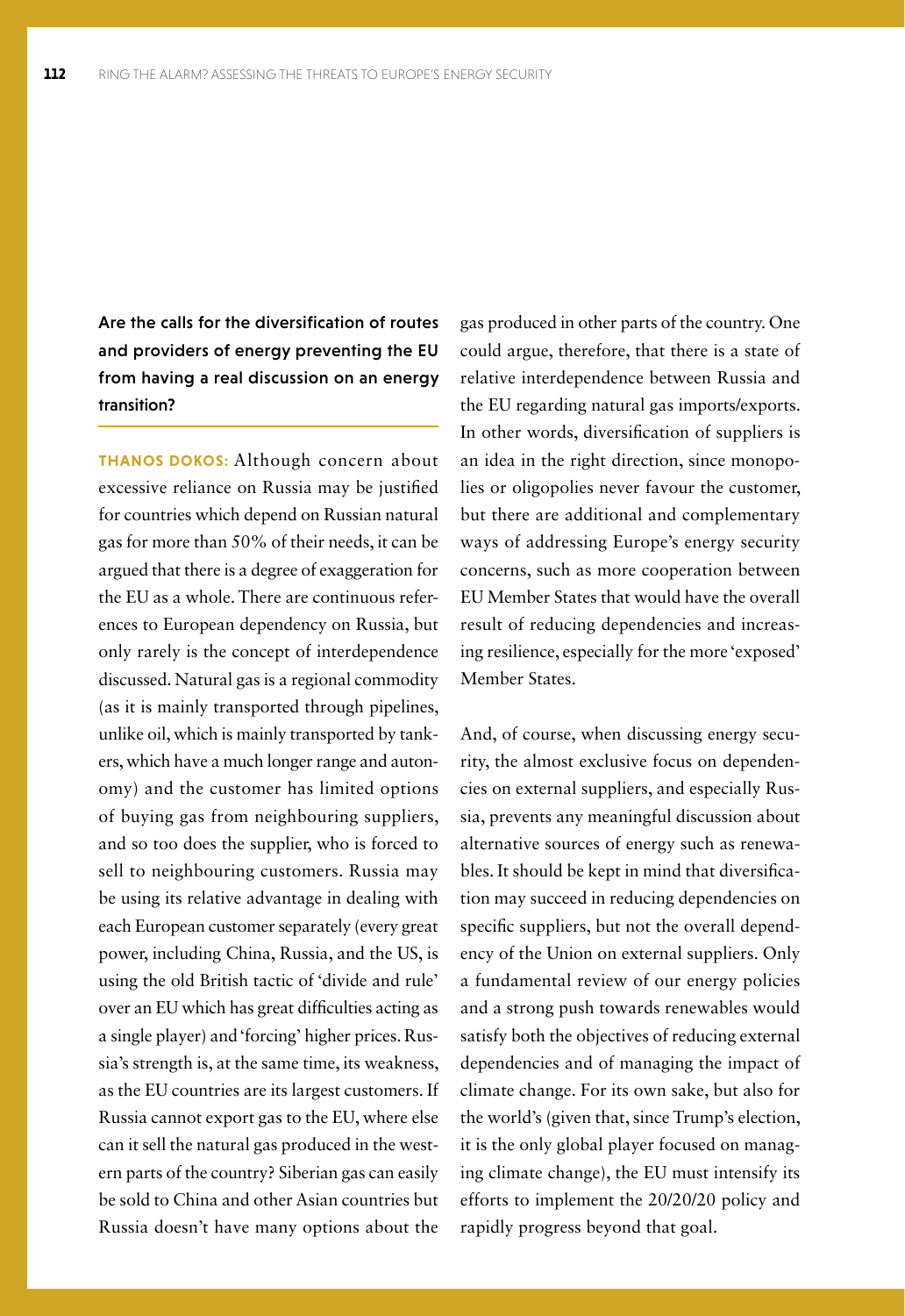Are the calls for the diversification of routes and providers of energy preventing the EU from having a real discussion on an energy transition?

**THANOS DOKOS:** Although concern about excessive reliance on Russia may be justified for countries which depend on Russian natural gas for more than 50% of their needs, it can be argued that there is a degree of exaggeration for the EU as a whole. There are continuous references to European dependency on Russia, but only rarely is the concept of interdependence discussed. Natural gas is a regional commodity (as it is mainly transported through pipelines, unlike oil, which is mainly transported by tankers, which have a much longer range and autonomy) and the customer has limited options of buying gas from neighbouring suppliers, and so too does the supplier, who is forced to sell to neighbouring customers. Russia may be using its relative advantage in dealing with each European customer separately (every great power, including China, Russia, and the US, is using the old British tactic of 'divide and rule' over an EU which has great difficulties acting as a single player) and 'forcing' higher prices. Russia's strength is, at the same time, its weakness, as the EU countries are its largest customers. If Russia cannot export gas to the EU, where else can it sell the natural gas produced in the western parts of the country? Siberian gas can easily be sold to China and other Asian countries but Russia doesn't have many options about the

gas produced in other parts of the country. One could argue, therefore, that there is a state of relative interdependence between Russia and the EU regarding natural gas imports/exports. In other words, diversification of suppliers is an idea in the right direction, since monopolies or oligopolies never favour the customer, but there are additional and complementary ways of addressing Europe's energy security concerns, such as more cooperation between EU Member States that would have the overall result of reducing dependencies and increasing resilience, especially for the more 'exposed' Member States.

And, of course, when discussing energy security, the almost exclusive focus on dependencies on external suppliers, and especially Russia, prevents any meaningful discussion about alternative sources of energy such as renewables. It should be kept in mind that diversification may succeed in reducing dependencies on specific suppliers, but not the overall dependency of the Union on external suppliers. Only a fundamental review of our energy policies and a strong push towards renewables would satisfy both the objectives of reducing external dependencies and of managing the impact of climate change. For its own sake, but also for the world's (given that, since Trump's election, it is the only global player focused on managing climate change), the EU must intensify its efforts to implement the 20/20/20 policy and rapidly progress beyond that goal.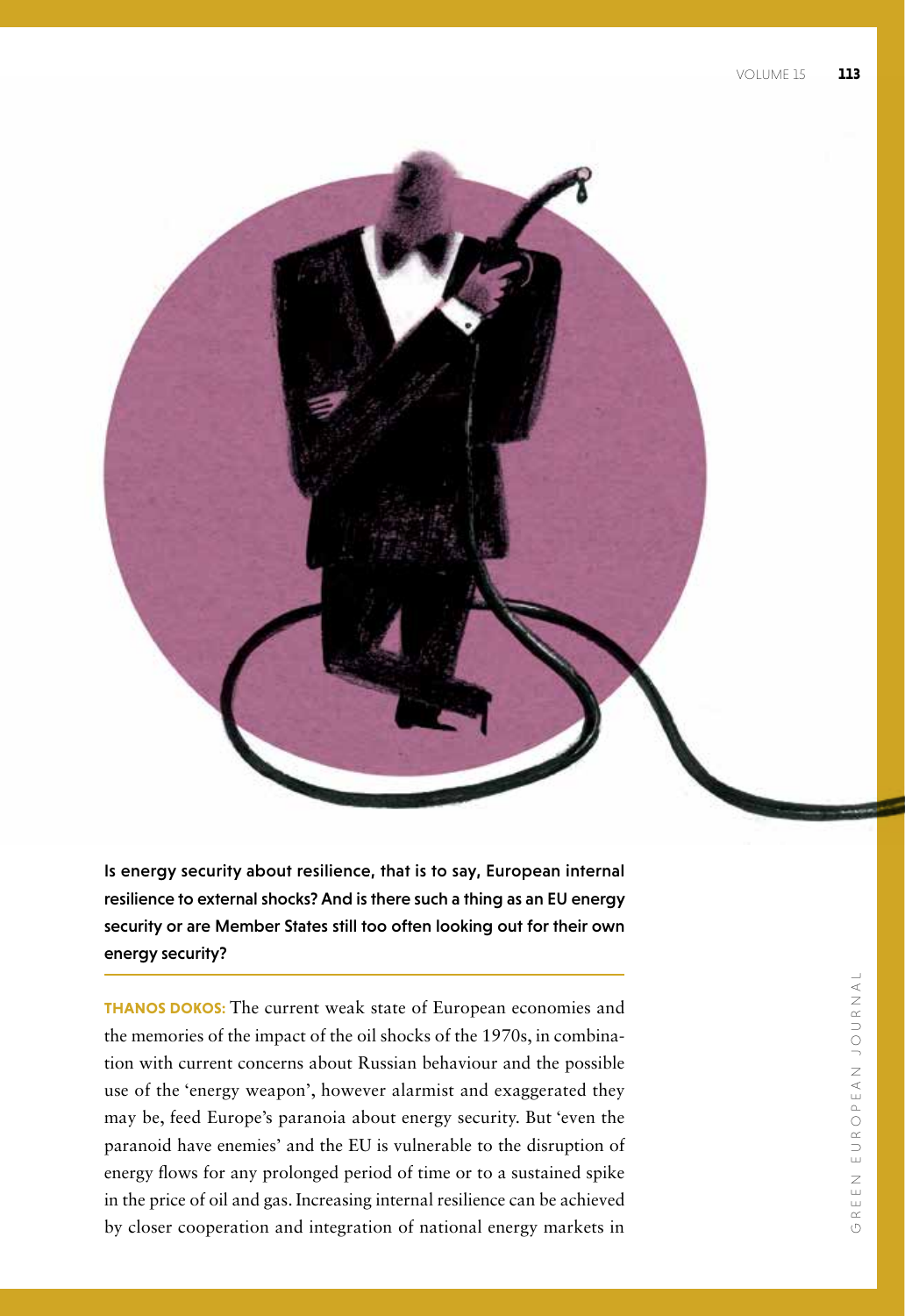

Is energy security about resilience, that is to say, European internal resilience to external shocks? And is there such a thing as an EU energy security or are Member States still too often looking out for their own energy security?

**THANOS DOKOS:** The current weak state of European economies and the memories of the impact of the oil shocks of the 1970s, in combination with current concerns about Russian behaviour and the possible use of the 'energy weapon', however alarmist and exaggerated they may be, feed Europe's paranoia about energy security. But 'even the paranoid have enemies' and the EU is vulnerable to the disruption of energy flows for any prolonged period of time or to a sustained spike in the price of oil and gas. Increasing internal resilience can be achieved by closer cooperation and integration of national energy markets in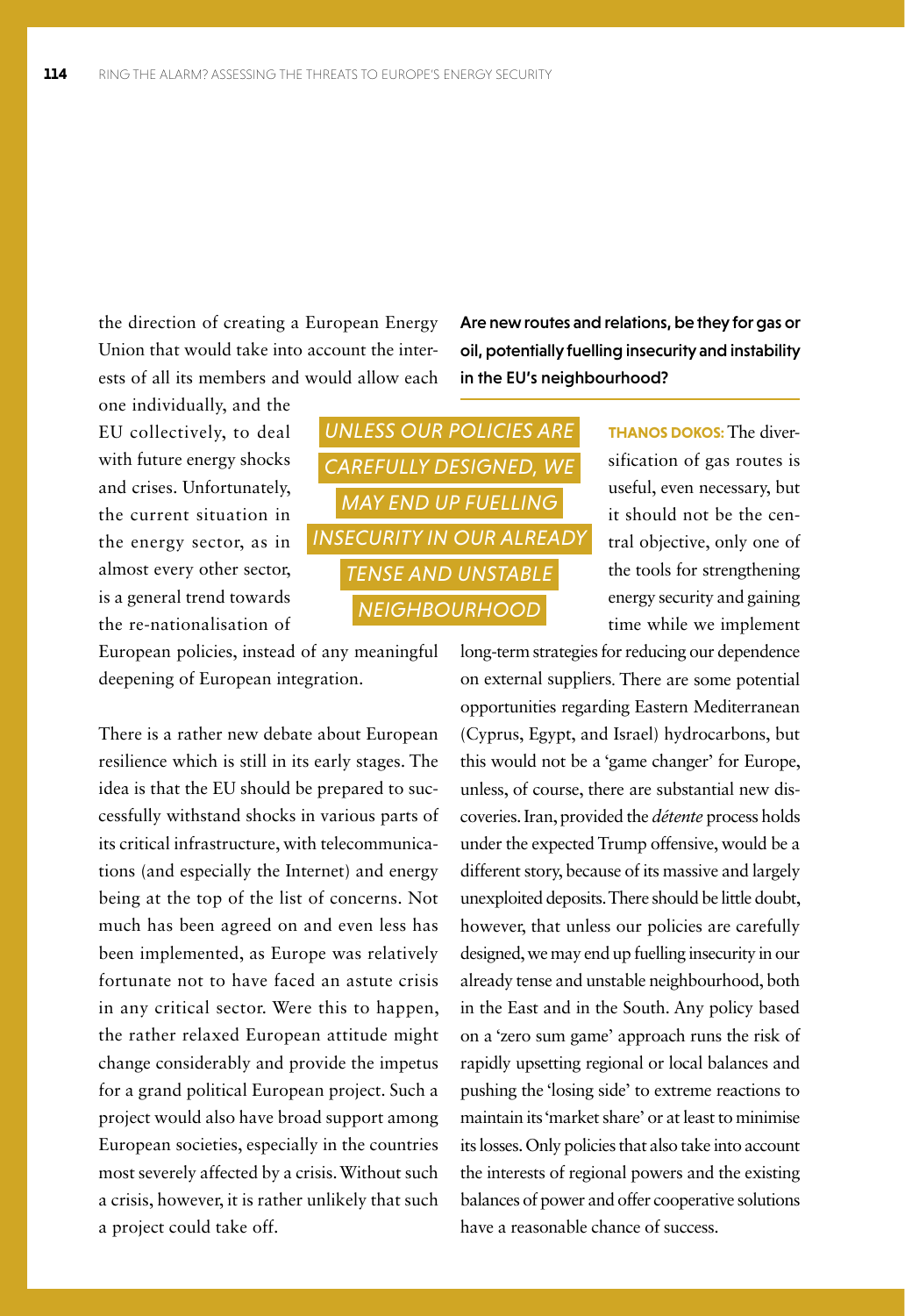the direction of creating a European Energy Union that would take into account the interests of all its members and would allow each

one individually, and the EU collectively, to deal with future energy shocks and crises. Unfortunately, the current situation in the energy sector, as in almost every other sector, is a general trend towards the re-nationalisation of

European policies, instead of any meaningful deepening of European integration.

There is a rather new debate about European resilience which is still in its early stages. The idea is that the EU should be prepared to successfully withstand shocks in various parts of its critical infrastructure, with telecommunications (and especially the Internet) and energy being at the top of the list of concerns. Not much has been agreed on and even less has been implemented, as Europe was relatively fortunate not to have faced an astute crisis in any critical sector. Were this to happen, the rather relaxed European attitude might change considerably and provide the impetus for a grand political European project. Such a project would also have broad support among European societies, especially in the countries most severely affected by a crisis. Without such a crisis, however, it is rather unlikely that such a project could take off.

Are new routes and relations, be they for gas or oil, potentially fuelling insecurity and instability in the EU's neighbourhood?



**THANOS DOKOS:** The diversification of gas routes is useful, even necessary, but it should not be the central objective, only one of the tools for strengthening energy security and gaining time while we implement

long-term strategies for reducing our dependence on external suppliers. There are some potential opportunities regarding Eastern Mediterranean (Cyprus, Egypt, and Israel) hydrocarbons, but this would not be a 'game changer' for Europe, unless, of course, there are substantial new discoveries. Iran, provided the *détente* process holds under the expected Trump offensive, would be a different story, because of its massive and largely unexploited deposits. There should be little doubt, however, that unless our policies are carefully designed, we may end up fuelling insecurity in our already tense and unstable neighbourhood, both in the East and in the South. Any policy based on a 'zero sum game' approach runs the risk of rapidly upsetting regional or local balances and pushing the 'losing side' to extreme reactions to maintain its 'market share' or at least to minimise its losses. Only policies that also take into account the interests of regional powers and the existing balances of power and offer cooperative solutions have a reasonable chance of success.